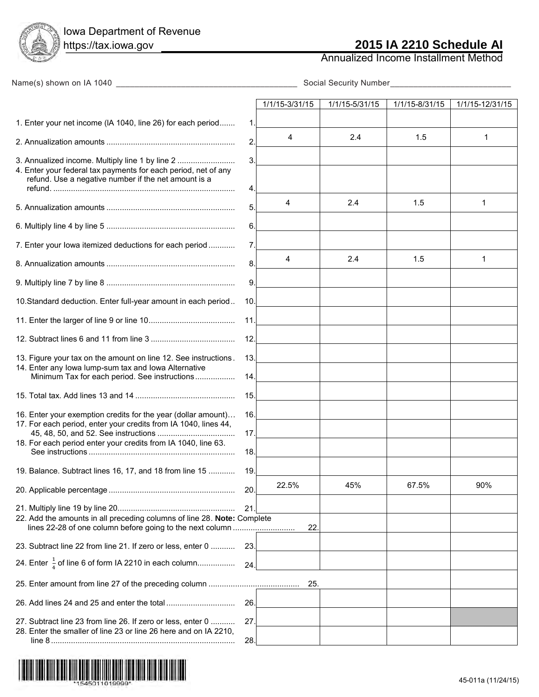Iowa Department of Revenue

Annualized Income Installment Method

| Name(s) shown on IA 1040                                                                                                         |            |                |                |                |                 |  |
|----------------------------------------------------------------------------------------------------------------------------------|------------|----------------|----------------|----------------|-----------------|--|
|                                                                                                                                  |            | 1/1/15-3/31/15 | 1/1/15-5/31/15 | 1/1/15-8/31/15 | 1/1/15-12/31/15 |  |
| 1. Enter your net income (IA 1040, line 26) for each period                                                                      | 1.         |                |                |                |                 |  |
|                                                                                                                                  | 2.         | 4              | 2.4            | 1.5            | 1               |  |
| 3. Annualized income. Multiply line 1 by line 2<br>4. Enter your federal tax payments for each period, net of any                | 3.         |                |                |                |                 |  |
| refund. Use a negative number if the net amount is a                                                                             | 4.         |                |                |                |                 |  |
|                                                                                                                                  | 5.         | $\overline{4}$ | 2.4            | 1.5            | $\mathbf 1$     |  |
|                                                                                                                                  | 6.         |                |                |                |                 |  |
| 7. Enter your lowa itemized deductions for each period                                                                           | 7.         |                |                |                |                 |  |
|                                                                                                                                  | 8.         | 4              | 2.4            | 1.5            | 1               |  |
|                                                                                                                                  | 9.         |                |                |                |                 |  |
| 10. Standard deduction. Enter full-year amount in each period                                                                    | 10.        |                |                |                |                 |  |
|                                                                                                                                  | 11.        |                |                |                |                 |  |
|                                                                                                                                  | 12.        |                |                |                |                 |  |
| 13. Figure your tax on the amount on line 12. See instructions.<br>14. Enter any lowa lump-sum tax and lowa Alternative          | 13.        |                |                |                |                 |  |
| Minimum Tax for each period. See instructions                                                                                    | 14.        |                |                |                |                 |  |
|                                                                                                                                  | 15.        |                |                |                |                 |  |
| 16. Enter your exemption credits for the year (dollar amount)<br>17. For each period, enter your credits from IA 1040, lines 44, | 16.<br>17. |                |                |                |                 |  |
| 18. For each period enter your credits from IA 1040, line 63.                                                                    | 18.        |                |                |                |                 |  |
| 19. Balance. Subtract lines 16, 17, and 18 from line 15                                                                          | 19         |                |                |                |                 |  |
|                                                                                                                                  | 20.        | 22.5%          | 45%            | 67.5%          | 90%             |  |
| 22. Add the amounts in all preceding columns of line 28. Note: Complete                                                          | 21.        |                |                |                |                 |  |
| lines 22-28 of one column before going to the next column                                                                        |            | 22             |                |                |                 |  |
| 23. Subtract line 22 from line 21. If zero or less, enter 0                                                                      | 23.        |                |                |                |                 |  |
| 24. Enter $\frac{1}{4}$ of line 6 of form IA 2210 in each column                                                                 | 24.        |                |                |                |                 |  |
|                                                                                                                                  |            | 25.            |                |                |                 |  |
|                                                                                                                                  | 26.        |                |                |                |                 |  |
| 27. Subtract line 23 from line 26. If zero or less, enter 0<br>28. Enter the smaller of line 23 or line 26 here and on IA 2210,  | 27         |                |                |                |                 |  |
|                                                                                                                                  | 28.        |                |                |                |                 |  |

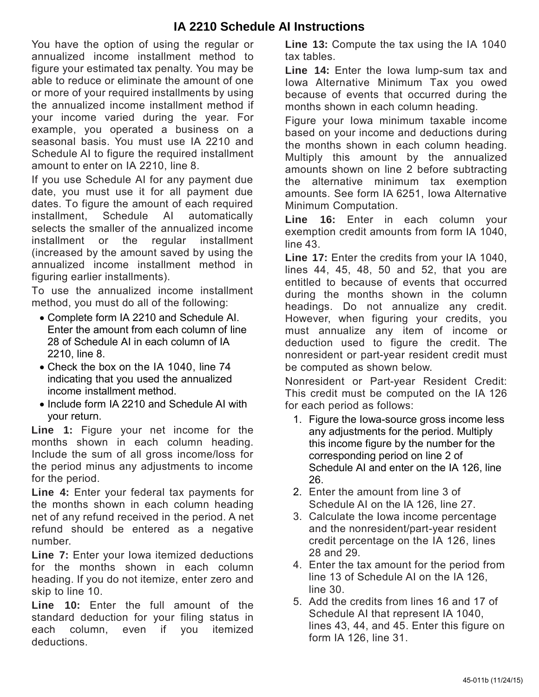## **IA 2210 Schedule AI Instructions**

You have the option of using the regular or annualized income installment method to figure your estimated tax penalty. You may be able to reduce or eliminate the amount of one or more of your required installments by using the annualized income installment method if your income varied during the year. For example, you operated a business on a seasonal basis. You must use IA 2210 and Schedule AI to figure the required installment amount to enter on IA 2210, line 8.

If you use Schedule AI for any payment due date, you must use it for all payment due dates. To figure the amount of each required installment, Schedule AI automatically selects the smaller of the annualized income installment or the regular installment (increased by the amount saved by using the annualized income installment method in figuring earlier installments).

To use the annualized income installment method, you must do all of the following:

- Complete form IA 2210 and Schedule AI. Enter the amount from each column of line 28 of Schedule AI in each column of IA 2210, line 8.
- Check the box on the IA 1040, line 74 indicating that you used the annualized income installment method.
- Include form IA 2210 and Schedule AI with your return.

**Line 1:** Figure your net income for the months shown in each column heading. Include the sum of all gross income/loss for the period minus any adjustments to income for the period.

**Line 4:** Enter your federal tax payments for the months shown in each column heading net of any refund received in the period. A net refund should be entered as a negative number.

**Line 7:** Enter your Iowa itemized deductions for the months shown in each column heading. If you do not itemize, enter zero and skip to line 10.

**Line 10:** Enter the full amount of the standard deduction for your filing status in each column, even if you itemized deductions.

**Line 13:** Compute the tax using the IA 1040 tax tables.

**Line 14:** Enter the Iowa lump-sum tax and Iowa Alternative Minimum Tax you owed because of events that occurred during the months shown in each column heading.

Figure your Iowa minimum taxable income based on your income and deductions during the months shown in each column heading. Multiply this amount by the annualized amounts shown on line 2 before subtracting the alternative minimum tax exemption amounts. See form IA 6251, Iowa Alternative Minimum Computation.

**Line 16:** Enter in each column your exemption credit amounts from form IA 1040, line 43.

**Line 17:** Enter the credits from your IA 1040, lines 44, 45, 48, 50 and 52, that you are entitled to because of events that occurred during the months shown in the column headings. Do not annualize any credit. However, when figuring your credits, you must annualize any item of income or deduction used to figure the credit. The nonresident or part-year resident credit must be computed as shown below.

Nonresident or Part-year Resident Credit: This credit must be computed on the IA 126 for each period as follows:

- 1. Figure the Iowa-source gross income less any adjustments for the period. Multiply this income figure by the number for the corresponding period on line 2 of Schedule AI and enter on the IA 126, line 26.
- 2. Enter the amount from line 3 of Schedule AI on the IA 126, line 27.
- 3. Calculate the Iowa income percentage and the nonresident/part-year resident credit percentage on the IA 126, lines 28 and 29.
- 4. Enter the tax amount for the period from line 13 of Schedule AI on the IA 126, line 30.
- 5. Add the credits from lines 16 and 17 of Schedule AI that represent IA 1040, lines 43, 44, and 45. Enter this figure on form IA 126, line 31.